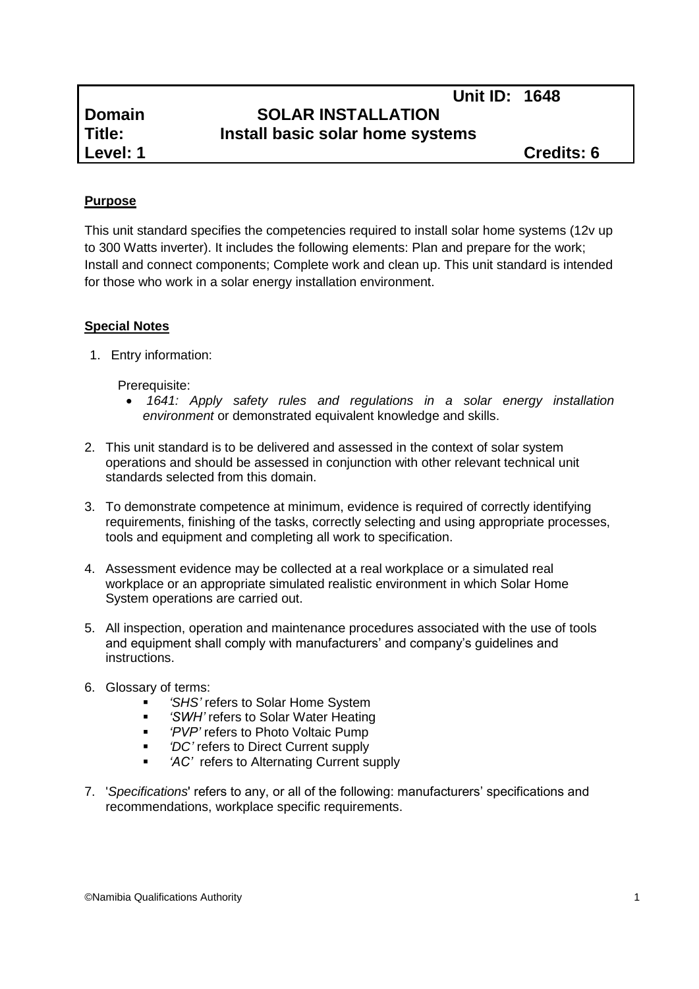# **Unit ID: 1648 Domain SOLAR INSTALLATION Title: Install basic solar home systems**

# **Purpose**

This unit standard specifies the competencies required to install solar home systems (12v up to 300 Watts inverter). It includes the following elements: Plan and prepare for the work; Install and connect components; Complete work and clean up. This unit standard is intended for those who work in a solar energy installation environment.

## **Special Notes**

1. Entry information:

Prerequisite:

- *1641: Apply safety rules and regulations in a solar energy installation environment* or demonstrated equivalent knowledge and skills.
- 2. This unit standard is to be delivered and assessed in the context of solar system operations and should be assessed in conjunction with other relevant technical unit standards selected from this domain.
- 3. To demonstrate competence at minimum, evidence is required of correctly identifying requirements, finishing of the tasks, correctly selecting and using appropriate processes, tools and equipment and completing all work to specification.
- 4. Assessment evidence may be collected at a real workplace or a simulated real workplace or an appropriate simulated realistic environment in which Solar Home System operations are carried out.
- 5. All inspection, operation and maintenance procedures associated with the use of tools and equipment shall comply with manufacturers' and company's guidelines and instructions.
- 6. Glossary of terms:
	- *'SHS'* refers to Solar Home System
	- *'SWH'* refers to Solar Water Heating
	- **Fig. 4** 'PVP' refers to Photo Voltaic Pump
	- *'DC'* refers to Direct Current supply
	- *'AC'* refers to Alternating Current supply
- 7. '*Specifications*' refers to any, or all of the following: manufacturers' specifications and recommendations, workplace specific requirements.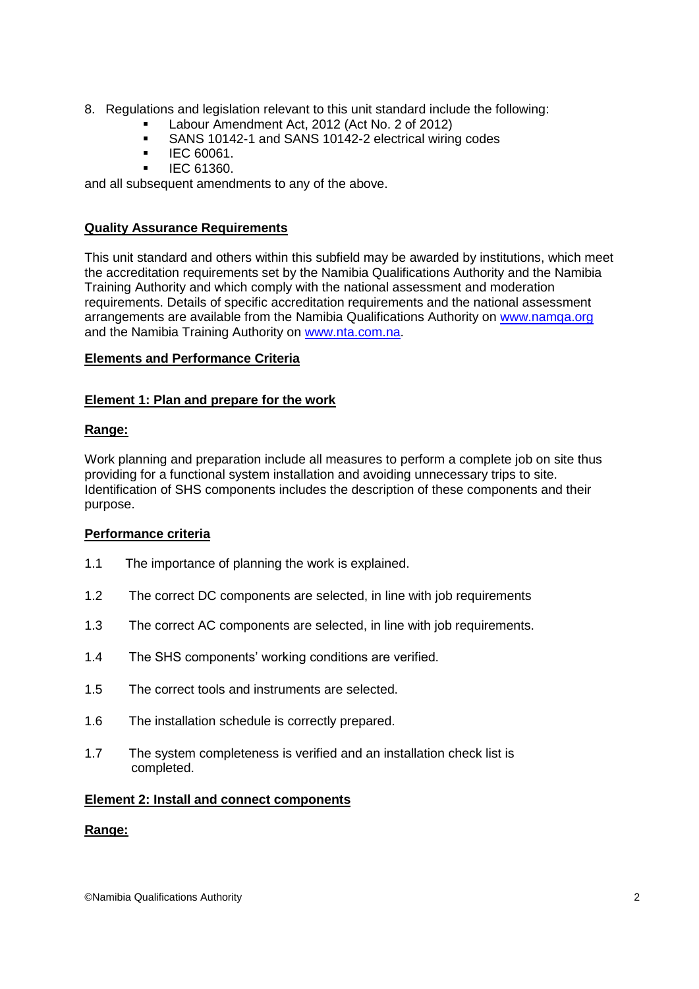- 8. Regulations and legislation relevant to this unit standard include the following:
	- Labour Amendment Act, 2012 (Act No. 2 of 2012)
	- SANS 10142-1 and SANS 10142-2 electrical wiring codes
	- $\blacksquare$  IEC 60061.
	- IEC 61360.

and all subsequent amendments to any of the above.

## **Quality Assurance Requirements**

This unit standard and others within this subfield may be awarded by institutions, which meet the accreditation requirements set by the Namibia Qualifications Authority and the Namibia Training Authority and which comply with the national assessment and moderation requirements. Details of specific accreditation requirements and the national assessment arrangements are available from the Namibia Qualifications Authority on [www.namqa.org](http://www.namqa.org/) and the Namibia Training Authority on [www.nta.com.na.](http://www.nta.com.na/)

## **Elements and Performance Criteria**

## **Element 1: Plan and prepare for the work**

## **Range:**

Work planning and preparation include all measures to perform a complete job on site thus providing for a functional system installation and avoiding unnecessary trips to site. Identification of SHS components includes the description of these components and their purpose.

## **Performance criteria**

- 1.1 The importance of planning the work is explained.
- 1.2 The correct DC components are selected, in line with job requirements
- 1.3 The correct AC components are selected, in line with job requirements.
- 1.4 The SHS components' working conditions are verified.
- 1.5 The correct tools and instruments are selected.
- 1.6 The installation schedule is correctly prepared.
- 1.7 The system completeness is verified and an installation check list is completed.

#### **Element 2: Install and connect components**

#### **Range:**